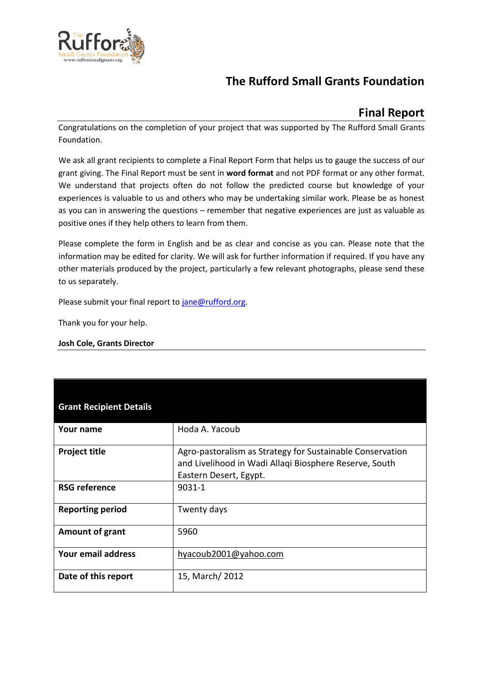

# **The Rufford Small Grants Foundation**

## **Final Report**

Congratulations on the completion of your project that was supported by The Rufford Small Grants Foundation.

We ask all grant recipients to complete a Final Report Form that helps us to gauge the success of our grant giving. The Final Report must be sent in **word format** and not PDF format or any other format. We understand that projects often do not follow the predicted course but knowledge of your experiences is valuable to us and others who may be undertaking similar work. Please be as honest as you can in answering the questions – remember that negative experiences are just as valuable as positive ones if they help others to learn from them.

Please complete the form in English and be as clear and concise as you can. Please note that the information may be edited for clarity. We will ask for further information if required. If you have any other materials produced by the project, particularly a few relevant photographs, please send these to us separately.

Please submit your final report to [jane@rufford.org.](mailto:jane@rufford.org)

Thank you for your help.

#### **Josh Cole, Grants Director**

| <b>Grant Recipient Details</b> |                                                                                                                                               |
|--------------------------------|-----------------------------------------------------------------------------------------------------------------------------------------------|
| Your name                      | Hoda A. Yacoub                                                                                                                                |
| <b>Project title</b>           | Agro-pastoralism as Strategy for Sustainable Conservation<br>and Livelihood in Wadi Allaqi Biosphere Reserve, South<br>Eastern Desert, Egypt. |
| <b>RSG reference</b>           | 9031-1                                                                                                                                        |
| <b>Reporting period</b>        | Twenty days                                                                                                                                   |
| Amount of grant                | 5960                                                                                                                                          |
| Your email address             | hyacoub2001@yahoo.com                                                                                                                         |
| Date of this report            | 15, March/ 2012                                                                                                                               |
|                                |                                                                                                                                               |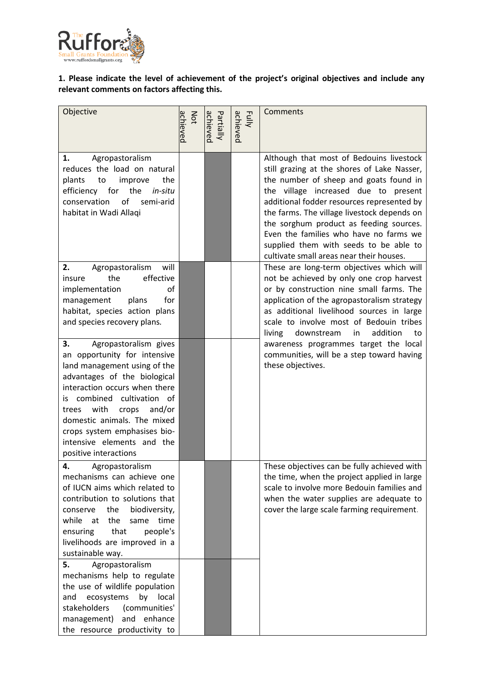

### **1. Please indicate the level of achievement of the project's original objectives and include any relevant comments on factors affecting this.**

| Objective                                                                                                                                                                                                                                                                                                                                                | achieved<br>Not | achieved<br>Partially | achieved<br>Fully | Comments                                                                                                                                                                                                                                                                                                                                                                                                                                          |  |
|----------------------------------------------------------------------------------------------------------------------------------------------------------------------------------------------------------------------------------------------------------------------------------------------------------------------------------------------------------|-----------------|-----------------------|-------------------|---------------------------------------------------------------------------------------------------------------------------------------------------------------------------------------------------------------------------------------------------------------------------------------------------------------------------------------------------------------------------------------------------------------------------------------------------|--|
| Agropastoralism<br>1.<br>reduces the load on natural<br>plants<br>the<br>improve<br>to<br>efficiency for<br>the<br>in-situ<br>of<br>conservation<br>semi-arid<br>habitat in Wadi Allaqi                                                                                                                                                                  |                 |                       |                   | Although that most of Bedouins livestock<br>still grazing at the shores of Lake Nasser,<br>the number of sheep and goats found in<br>the village increased due to present<br>additional fodder resources represented by<br>the farms. The village livestock depends on<br>the sorghum product as feeding sources.<br>Even the families who have no farms we<br>supplied them with seeds to be able to<br>cultivate small areas near their houses. |  |
| Agropastoralism<br>will<br>2.<br>the<br>effective<br>insure<br>of<br>implementation<br>plans<br>for<br>management<br>habitat, species action plans<br>and species recovery plans.                                                                                                                                                                        |                 |                       |                   | These are long-term objectives which will<br>not be achieved by only one crop harvest<br>or by construction nine small farms. The<br>application of the agropastoralism strategy<br>as additional livelihood sources in large<br>scale to involve most of Bedouin tribes<br>addition<br>living<br>downstream<br>in<br>to                                                                                                                          |  |
| 3.<br>Agropastoralism gives<br>an opportunity for intensive<br>land management using of the<br>advantages of the biological<br>interaction occurs when there<br>combined cultivation of<br>İS.<br>and/or<br>with<br>crops<br>trees<br>domestic animals. The mixed<br>crops system emphasises bio-<br>intensive elements and the<br>positive interactions |                 |                       |                   | awareness programmes target the local<br>communities, will be a step toward having<br>these objectives.                                                                                                                                                                                                                                                                                                                                           |  |
| 4.<br>Agropastoralism<br>mechanisms can achieve one<br>of IUCN aims which related to<br>contribution to solutions that<br>the<br>biodiversity,<br>conserve<br>while<br>the<br>at<br>time<br>same<br>that<br>people's<br>ensuring<br>livelihoods are improved in a<br>sustainable way.                                                                    |                 |                       |                   | These objectives can be fully achieved with<br>the time, when the project applied in large<br>scale to involve more Bedouin families and<br>when the water supplies are adequate to<br>cover the large scale farming requirement.                                                                                                                                                                                                                 |  |
| Agropastoralism<br>5.<br>mechanisms help to regulate<br>the use of wildlife population<br>ecosystems<br>by<br>local<br>and<br>stakeholders<br>(communities'<br>management) and enhance<br>the resource productivity to                                                                                                                                   |                 |                       |                   |                                                                                                                                                                                                                                                                                                                                                                                                                                                   |  |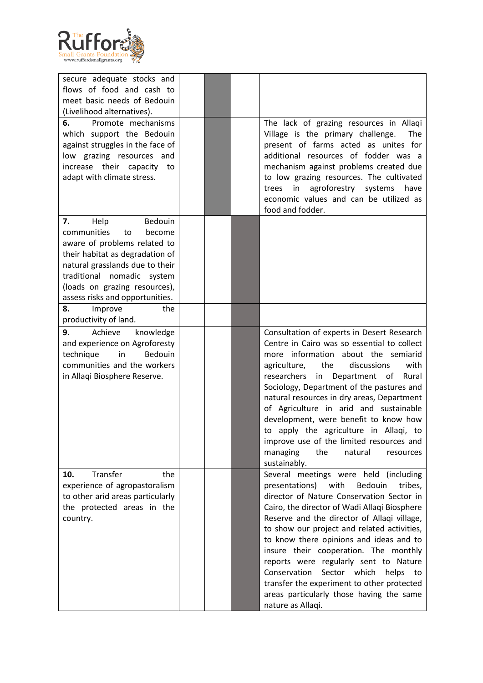

| secure adequate stocks and<br>flows of food and cash to<br>meet basic needs of Bedouin<br>(Livelihood alternatives).<br>6.<br>Promote mechanisms                                                                                                                                     |  | The lack of grazing resources in Allaqi                                                                                                                                                                                                                                                                                                                                                                                                                                                                                                                                        |
|--------------------------------------------------------------------------------------------------------------------------------------------------------------------------------------------------------------------------------------------------------------------------------------|--|--------------------------------------------------------------------------------------------------------------------------------------------------------------------------------------------------------------------------------------------------------------------------------------------------------------------------------------------------------------------------------------------------------------------------------------------------------------------------------------------------------------------------------------------------------------------------------|
| which support the Bedouin<br>against struggles in the face of<br>low grazing resources and<br>increase their capacity to<br>adapt with climate stress.                                                                                                                               |  | Village is the primary challenge.<br>The<br>present of farms acted as unites for<br>additional resources of fodder was a<br>mechanism against problems created due<br>to low grazing resources. The cultivated<br>agroforestry systems<br>in<br>trees<br>have<br>economic values and can be utilized as<br>food and fodder.                                                                                                                                                                                                                                                    |
| Bedouin<br>Help<br>7.<br>communities<br>to<br>become<br>aware of problems related to<br>their habitat as degradation of<br>natural grasslands due to their<br>traditional nomadic system<br>(loads on grazing resources),<br>assess risks and opportunities.<br>8.<br>Improve<br>the |  |                                                                                                                                                                                                                                                                                                                                                                                                                                                                                                                                                                                |
| productivity of land.<br>Achieve<br>9.<br>knowledge<br>and experience on Agroforesty<br>in<br>Bedouin<br>technique<br>communities and the workers<br>in Allaqi Biosphere Reserve.                                                                                                    |  | Consultation of experts in Desert Research<br>Centre in Cairo was so essential to collect<br>more information about the semiarid<br>agriculture,<br>the<br>discussions<br>with<br>researchers<br>Department of<br>in<br>Rural<br>Sociology, Department of the pastures and<br>natural resources in dry areas, Department<br>of Agriculture in arid and sustainable<br>development, were benefit to know how<br>to apply the agriculture in Allaqi, to<br>improve use of the limited resources and<br>managing<br>the<br>natural<br>resources<br>sustainably.                   |
| Transfer<br>10.<br>the<br>experience of agropastoralism<br>to other arid areas particularly<br>the protected areas in the<br>country.                                                                                                                                                |  | Several meetings were held<br>(including<br>presentations)<br>Bedouin<br>with<br>tribes,<br>director of Nature Conservation Sector in<br>Cairo, the director of Wadi Allaqi Biosphere<br>Reserve and the director of Allaqi village,<br>to show our project and related activities,<br>to know there opinions and ideas and to<br>insure their cooperation. The monthly<br>reports were regularly sent to Nature<br>Conservation<br>Sector which<br>helps<br>to<br>transfer the experiment to other protected<br>areas particularly those having the same<br>nature as Allaqi. |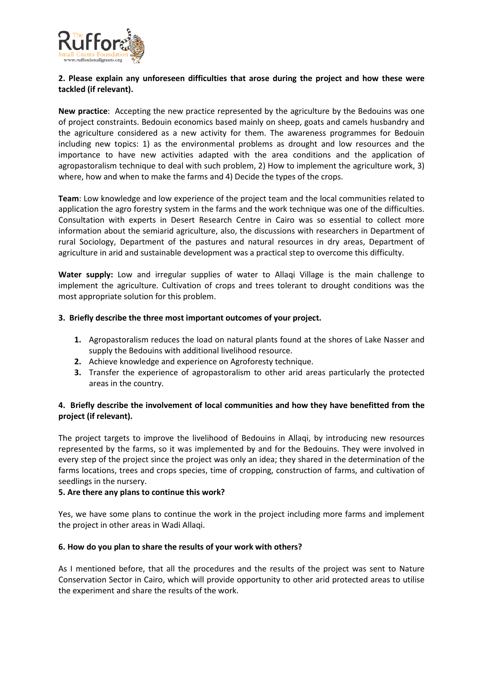

#### **2. Please explain any unforeseen difficulties that arose during the project and how these were tackled (if relevant).**

**New practice**: Accepting the new practice represented by the agriculture by the Bedouins was one of project constraints. Bedouin economics based mainly on sheep, goats and camels husbandry and the agriculture considered as a new activity for them. The awareness programmes for Bedouin including new topics: 1) as the environmental problems as drought and low resources and the importance to have new activities adapted with the area conditions and the application of agropastoralism technique to deal with such problem, 2) How to implement the agriculture work, 3) where, how and when to make the farms and 4) Decide the types of the crops.

**Team**: Low knowledge and low experience of the project team and the local communities related to application the agro forestry system in the farms and the work technique was one of the difficulties. Consultation with experts in Desert Research Centre in Cairo was so essential to collect more information about the semiarid agriculture, also, the discussions with researchers in Department of rural Sociology, Department of the pastures and natural resources in dry areas, Department of agriculture in arid and sustainable development was a practical step to overcome this difficulty.

**Water supply:** Low and irregular supplies of water to Allaqi Village is the main challenge to implement the agriculture. Cultivation of crops and trees tolerant to drought conditions was the most appropriate solution for this problem.

#### **3. Briefly describe the three most important outcomes of your project.**

- **1.** Agropastoralism reduces the load on natural plants found at the shores of Lake Nasser and supply the Bedouins with additional livelihood resource.
- **2.** Achieve knowledge and experience on Agroforesty technique.
- **3.** Transfer the experience of agropastoralism to other arid areas particularly the protected areas in the country.

#### **4. Briefly describe the involvement of local communities and how they have benefitted from the project (if relevant).**

The project targets to improve the livelihood of Bedouins in Allaqi, by introducing new resources represented by the farms, so it was implemented by and for the Bedouins. They were involved in every step of the project since the project was only an idea; they shared in the determination of the farms locations, trees and crops species, time of cropping, construction of farms, and cultivation of seedlings in the nursery.

#### **5. Are there any plans to continue this work?**

Yes, we have some plans to continue the work in the project including more farms and implement the project in other areas in Wadi Allaqi.

#### **6. How do you plan to share the results of your work with others?**

As I mentioned before, that all the procedures and the results of the project was sent to Nature Conservation Sector in Cairo, which will provide opportunity to other arid protected areas to utilise the experiment and share the results of the work.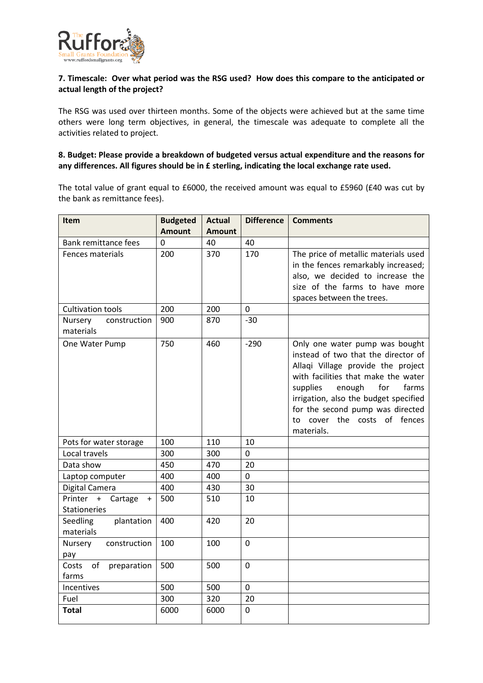

#### **7. Timescale: Over what period was the RSG used? How does this compare to the anticipated or actual length of the project?**

The RSG was used over thirteen months. Some of the objects were achieved but at the same time others were long term objectives, in general, the timescale was adequate to complete all the activities related to project.

#### **8. Budget: Please provide a breakdown of budgeted versus actual expenditure and the reasons for any differences. All figures should be in £ sterling, indicating the local exchange rate used.**

The total value of grant equal to £6000, the received amount was equal to £5960 (£40 was cut by the bank as remittance fees).

| Item                                 | <b>Budgeted</b> | <b>Actual</b> | <b>Difference</b> | <b>Comments</b>                                                           |
|--------------------------------------|-----------------|---------------|-------------------|---------------------------------------------------------------------------|
|                                      | <b>Amount</b>   | <b>Amount</b> |                   |                                                                           |
| <b>Bank remittance fees</b>          | 0               | 40            | 40                |                                                                           |
| <b>Fences materials</b>              | 200             | 370           | 170               | The price of metallic materials used                                      |
|                                      |                 |               |                   | in the fences remarkably increased;                                       |
|                                      |                 |               |                   | also, we decided to increase the                                          |
|                                      |                 |               |                   | size of the farms to have more                                            |
|                                      |                 |               |                   | spaces between the trees.                                                 |
| <b>Cultivation tools</b>             | 200             | 200           | 0                 |                                                                           |
| construction<br>Nursery<br>materials | 900             | 870           | $-30$             |                                                                           |
| One Water Pump                       | 750             | 460           | $-290$            | Only one water pump was bought                                            |
|                                      |                 |               |                   | instead of two that the director of                                       |
|                                      |                 |               |                   | Allaqi Village provide the project<br>with facilities that make the water |
|                                      |                 |               |                   | enough<br>supplies<br>for<br>farms                                        |
|                                      |                 |               |                   | irrigation, also the budget specified                                     |
|                                      |                 |               |                   | for the second pump was directed                                          |
|                                      |                 |               |                   | to cover the costs of fences                                              |
|                                      |                 |               |                   | materials.                                                                |
| Pots for water storage               | 100             | 110           | 10                |                                                                           |
| Local travels                        | 300             | 300           | 0                 |                                                                           |
| Data show                            | 450             | 470           | 20                |                                                                           |
| Laptop computer                      | 400             | 400           | 0                 |                                                                           |
| Digital Camera                       | 400             | 430           | 30                |                                                                           |
| Printer +<br>Cartage<br>$+$          | 500             | 510           | 10                |                                                                           |
| <b>Stationeries</b>                  |                 |               |                   |                                                                           |
| Seedling<br>plantation               | 400             | 420           | 20                |                                                                           |
| materials                            | 100             | 100           | 0                 |                                                                           |
| Nursery<br>construction<br>pay       |                 |               |                   |                                                                           |
| Costs<br>of<br>preparation           | 500             | 500           | 0                 |                                                                           |
| farms                                |                 |               |                   |                                                                           |
| Incentives                           | 500             | 500           | 0                 |                                                                           |
| Fuel                                 | 300             | 320           | 20                |                                                                           |
| <b>Total</b>                         | 6000            | 6000          | 0                 |                                                                           |